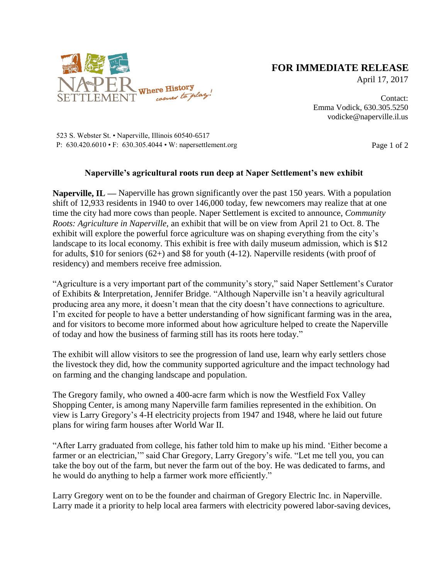

## **FOR IMMEDIATE RELEASE**

April 17, 2017

Contact: Emma Vodick, 630.305.5250 vodicke@naperville.il.us

523 S. Webster St. • Naperville, Illinois 60540-6517 P:  $630.420.6010 \cdot F$ :  $630.305.4044 \cdot W$ : napersettlement.org Page 1 of 2

## **Naperville's agricultural roots run deep at Naper Settlement's new exhibit**

**Naperville, IL —** Naperville has grown significantly over the past 150 years. With a population shift of 12,933 residents in 1940 to over 146,000 today, few newcomers may realize that at one time the city had more cows than people. Naper Settlement is excited to announce, *Community Roots: Agriculture in Naperville*, an exhibit that will be on view from April 21 to Oct. 8. The exhibit will explore the powerful force agriculture was on shaping everything from the city's landscape to its local economy. This exhibit is free with daily museum admission, which is \$12 for adults, \$10 for seniors (62+) and \$8 for youth (4-12). Naperville residents (with proof of residency) and members receive free admission.

"Agriculture is a very important part of the community's story," said Naper Settlement's Curator of Exhibits & Interpretation, Jennifer Bridge. "Although Naperville isn't a heavily agricultural producing area any more, it doesn't mean that the city doesn't have connections to agriculture. I'm excited for people to have a better understanding of how significant farming was in the area, and for visitors to become more informed about how agriculture helped to create the Naperville of today and how the business of farming still has its roots here today."

The exhibit will allow visitors to see the progression of land use, learn why early settlers chose the livestock they did, how the community supported agriculture and the impact technology had on farming and the changing landscape and population.

The Gregory family, who owned a 400-acre farm which is now the Westfield Fox Valley Shopping Center, is among many Naperville farm families represented in the exhibition. On view is Larry Gregory's 4-H electricity projects from 1947 and 1948, where he laid out future plans for wiring farm houses after World War II.

"After Larry graduated from college, his father told him to make up his mind. 'Either become a farmer or an electrician," said Char Gregory, Larry Gregory's wife. "Let me tell you, you can take the boy out of the farm, but never the farm out of the boy. He was dedicated to farms, and he would do anything to help a farmer work more efficiently."

Larry Gregory went on to be the founder and chairman of Gregory Electric Inc. in Naperville. Larry made it a priority to help local area farmers with electricity powered labor-saving devices,